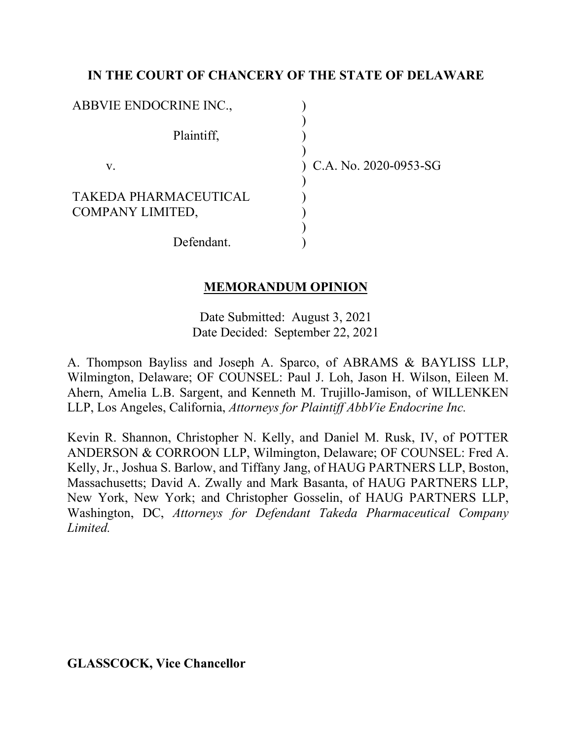# **IN THE COURT OF CHANCERY OF THE STATE OF DELAWARE**

| ABBVIE ENDOCRINE INC.,                           |                           |
|--------------------------------------------------|---------------------------|
| Plaintiff,                                       |                           |
| V.                                               | $)$ C.A. No. 2020-0953-SG |
| <b>TAKEDA PHARMACEUTICAL</b><br>COMPANY LIMITED, |                           |
| Defendant.                                       |                           |

## **MEMORANDUM OPINION**

Date Submitted: August 3, 2021 Date Decided: September 22, 2021

A. Thompson Bayliss and Joseph A. Sparco, of ABRAMS & BAYLISS LLP, Wilmington, Delaware; OF COUNSEL: Paul J. Loh, Jason H. Wilson, Eileen M. Ahern, Amelia L.B. Sargent, and Kenneth M. Trujillo-Jamison, of WILLENKEN LLP, Los Angeles, California, *Attorneys for Plaintiff AbbVie Endocrine Inc.*

Kevin R. Shannon, Christopher N. Kelly, and Daniel M. Rusk, IV, of POTTER ANDERSON & CORROON LLP, Wilmington, Delaware; OF COUNSEL: Fred A. Kelly, Jr., Joshua S. Barlow, and Tiffany Jang, of HAUG PARTNERS LLP, Boston, Massachusetts; David A. Zwally and Mark Basanta, of HAUG PARTNERS LLP, New York, New York; and Christopher Gosselin, of HAUG PARTNERS LLP, Washington, DC, *Attorneys for Defendant Takeda Pharmaceutical Company Limited.*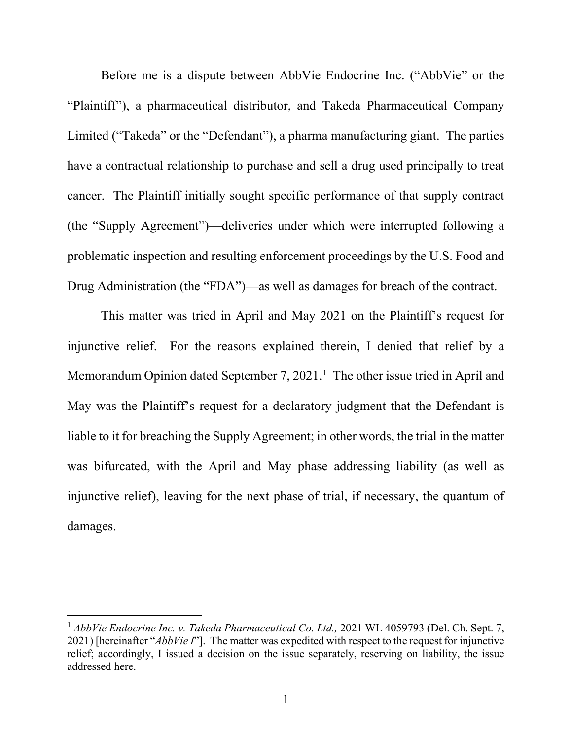Before me is a dispute between AbbVie Endocrine Inc. ("AbbVie" or the "Plaintiff"), a pharmaceutical distributor, and Takeda Pharmaceutical Company Limited ("Takeda" or the "Defendant"), a pharma manufacturing giant. The parties have a contractual relationship to purchase and sell a drug used principally to treat cancer. The Plaintiff initially sought specific performance of that supply contract (the "Supply Agreement")—deliveries under which were interrupted following a problematic inspection and resulting enforcement proceedings by the U.S. Food and Drug Administration (the "FDA")—as well as damages for breach of the contract.

This matter was tried in April and May 2021 on the Plaintiff's request for injunctive relief. For the reasons explained therein, I denied that relief by a Memorandum Opinion dated September  $7,2021$ .<sup>1</sup> The other issue tried in April and May was the Plaintiff's request for a declaratory judgment that the Defendant is liable to it for breaching the Supply Agreement; in other words, the trial in the matter was bifurcated, with the April and May phase addressing liability (as well as injunctive relief), leaving for the next phase of trial, if necessary, the quantum of damages.

<sup>&</sup>lt;sup>1</sup> *AbbVie Endocrine Inc. v. Takeda Pharmaceutical Co. Ltd., 2021 WL 4059793 (Del. Ch. Sept. 7,* 2021) [hereinafter "*AbbVie I*"]. The matter was expedited with respect to the request for injunctive relief; accordingly, I issued a decision on the issue separately, reserving on liability, the issue addressed here.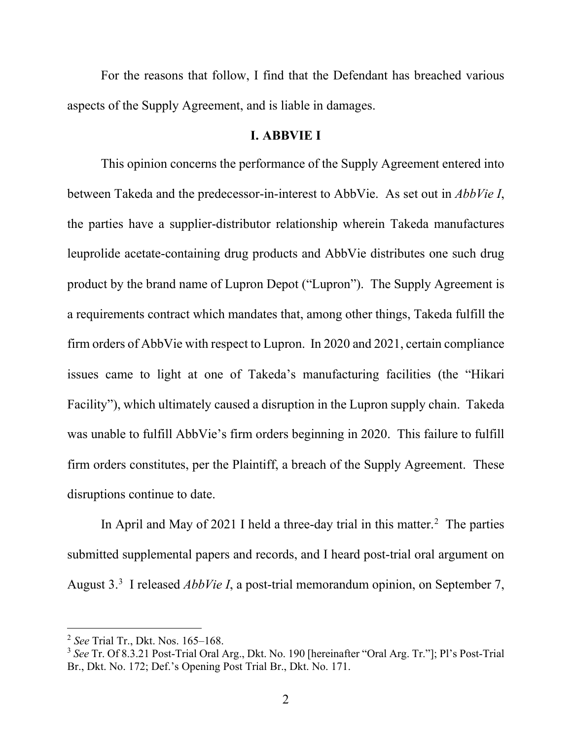For the reasons that follow, I find that the Defendant has breached various aspects of the Supply Agreement, and is liable in damages.

#### **I. ABBVIE I**

This opinion concerns the performance of the Supply Agreement entered into between Takeda and the predecessor-in-interest to AbbVie. As set out in *AbbVie I*, the parties have a supplier-distributor relationship wherein Takeda manufactures leuprolide acetate-containing drug products and AbbVie distributes one such drug product by the brand name of Lupron Depot ("Lupron"). The Supply Agreement is a requirements contract which mandates that, among other things, Takeda fulfill the firm orders of AbbVie with respect to Lupron. In 2020 and 2021, certain compliance issues came to light at one of Takeda's manufacturing facilities (the "Hikari Facility"), which ultimately caused a disruption in the Lupron supply chain. Takeda was unable to fulfill AbbVie's firm orders beginning in 2020. This failure to fulfill firm orders constitutes, per the Plaintiff, a breach of the Supply Agreement. These disruptions continue to date.

In April and May of 2021 I held a three-day trial in this matter.<sup>2</sup> The parties submitted supplemental papers and records, and I heard post-trial oral argument on August 3.3 I released *AbbVie I*, a post-trial memorandum opinion, on September 7,

<sup>2</sup> *See* Trial Tr., Dkt. Nos. 165–168.

<sup>3</sup> *See* Tr. Of 8.3.21 Post-Trial Oral Arg., Dkt. No. 190 [hereinafter "Oral Arg. Tr."]; Pl's Post-Trial Br., Dkt. No. 172; Def.'s Opening Post Trial Br., Dkt. No. 171.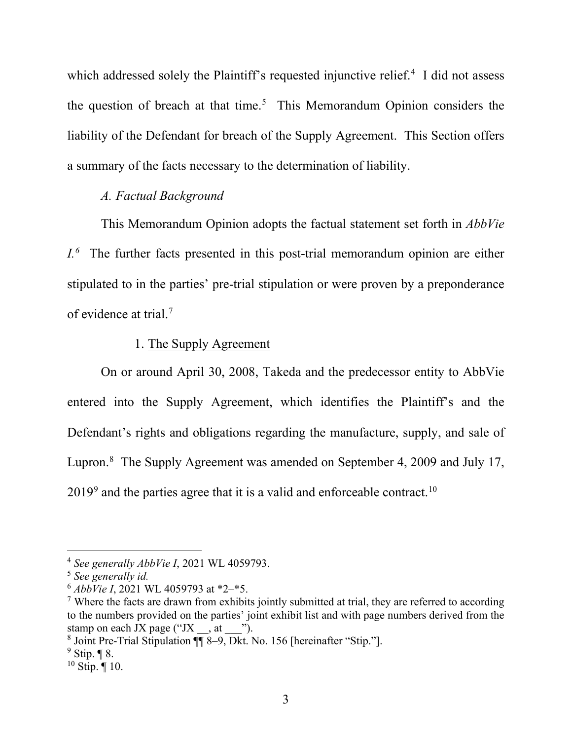which addressed solely the Plaintiff's requested injunctive relief. $4$  I did not assess the question of breach at that time.<sup>5</sup> This Memorandum Opinion considers the liability of the Defendant for breach of the Supply Agreement. This Section offers a summary of the facts necessary to the determination of liability.

#### *A. Factual Background*

This Memorandum Opinion adopts the factual statement set forth in *AbbVie I.6* The further facts presented in this post-trial memorandum opinion are either stipulated to in the parties' pre-trial stipulation or were proven by a preponderance of evidence at trial.7

### 1. The Supply Agreement

On or around April 30, 2008, Takeda and the predecessor entity to AbbVie entered into the Supply Agreement, which identifies the Plaintiff's and the Defendant's rights and obligations regarding the manufacture, supply, and sale of Lupron.<sup>8</sup> The Supply Agreement was amended on September 4, 2009 and July 17,  $2019<sup>9</sup>$  and the parties agree that it is a valid and enforceable contract.<sup>10</sup>

<sup>4</sup> *See generally AbbVie I*, 2021 WL 4059793.

<sup>5</sup> *See generally id.* 

<sup>6</sup> *AbbVie I*, 2021 WL 4059793 at \*2–\*5.

 $<sup>7</sup>$  Where the facts are drawn from exhibits jointly submitted at trial, they are referred to according</sup> to the numbers provided on the parties' joint exhibit list and with page numbers derived from the stamp on each JX page ("JX  $_{\_}$ , at  $_{\_}$ ").<br><sup>8</sup> Joint Pre-Trial Stipulation ¶¶ 8–9, Dkt. No. 156 [hereinafter "Stip."].

 $9$  Stip. ¶ 8.

 $10$  Stip. | 10.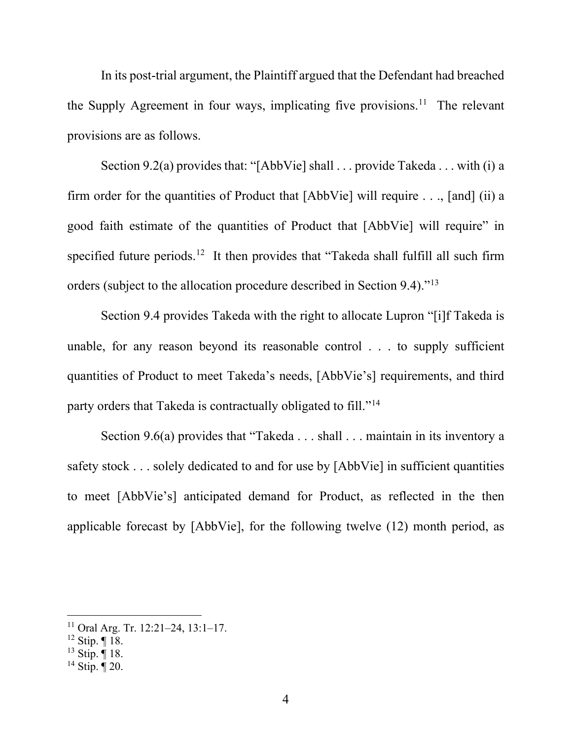In its post-trial argument, the Plaintiff argued that the Defendant had breached the Supply Agreement in four ways, implicating five provisions.<sup>11</sup> The relevant provisions are as follows.

Section 9.2(a) provides that: "[AbbVie] shall . . . provide Takeda . . . with (i) a firm order for the quantities of Product that [AbbVie] will require . . ., [and] (ii) a good faith estimate of the quantities of Product that [AbbVie] will require" in specified future periods.<sup>12</sup> It then provides that "Takeda shall fulfill all such firm orders (subject to the allocation procedure described in Section 9.4)."13

Section 9.4 provides Takeda with the right to allocate Lupron "[i]f Takeda is unable, for any reason beyond its reasonable control . . . to supply sufficient quantities of Product to meet Takeda's needs, [AbbVie's] requirements, and third party orders that Takeda is contractually obligated to fill."14

Section 9.6(a) provides that "Takeda . . . shall . . . maintain in its inventory a safety stock . . . solely dedicated to and for use by [AbbVie] in sufficient quantities to meet [AbbVie's] anticipated demand for Product, as reflected in the then applicable forecast by [AbbVie], for the following twelve (12) month period, as

 $11$  Oral Arg. Tr. 12:21–24, 13:1–17.

 $12$  Stip. | 18.

<sup>13</sup> Stip. ¶ 18.

 $14$  Stip.  $\frac{1}{9}$  20.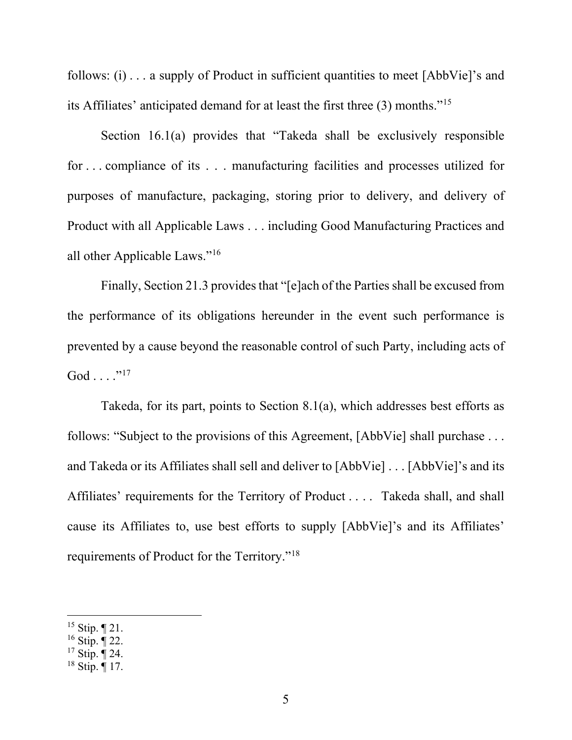follows: (i) . . . a supply of Product in sufficient quantities to meet [AbbVie]'s and its Affiliates' anticipated demand for at least the first three (3) months."15

Section 16.1(a) provides that "Takeda shall be exclusively responsible for . . . compliance of its . . . manufacturing facilities and processes utilized for purposes of manufacture, packaging, storing prior to delivery, and delivery of Product with all Applicable Laws . . . including Good Manufacturing Practices and all other Applicable Laws."16

Finally, Section 21.3 provides that "[e]ach of the Parties shall be excused from the performance of its obligations hereunder in the event such performance is prevented by a cause beyond the reasonable control of such Party, including acts of  $God \dots$ ."<sup>17</sup>

Takeda, for its part, points to Section 8.1(a), which addresses best efforts as follows: "Subject to the provisions of this Agreement, [AbbVie] shall purchase . . . and Takeda or its Affiliates shall sell and deliver to [AbbVie] . . . [AbbVie]'s and its Affiliates' requirements for the Territory of Product . . . . Takeda shall, and shall cause its Affiliates to, use best efforts to supply [AbbVie]'s and its Affiliates' requirements of Product for the Territory."18

<sup>&</sup>lt;sup>15</sup> Stip. ¶ 21.

 $16$  Stip. ¶ 22.

 $17$  Stip.  $\frac{1}{12}$  24.

 $18$  Stip.  $\frac{1}{17}$ .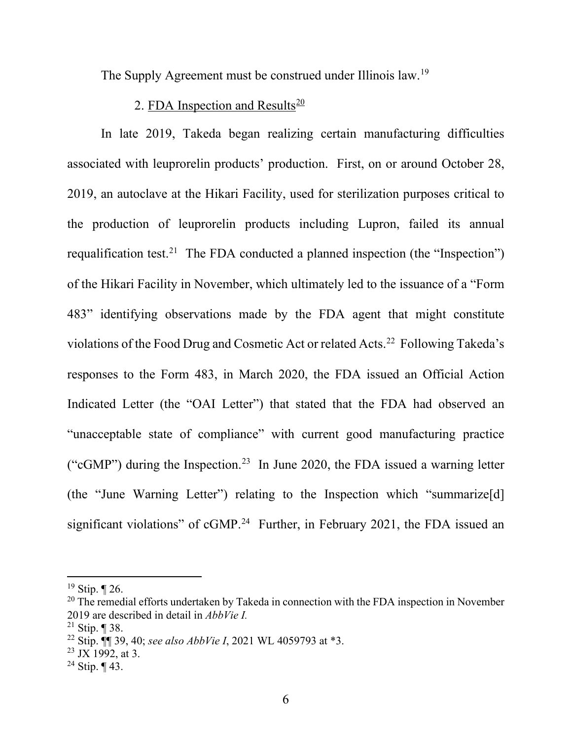The Supply Agreement must be construed under Illinois law.19

### 2. FDA Inspection and Results $\frac{20}{2}$

In late 2019, Takeda began realizing certain manufacturing difficulties associated with leuprorelin products' production. First, on or around October 28, 2019, an autoclave at the Hikari Facility, used for sterilization purposes critical to the production of leuprorelin products including Lupron, failed its annual requalification test.<sup>21</sup> The FDA conducted a planned inspection (the "Inspection") of the Hikari Facility in November, which ultimately led to the issuance of a "Form 483" identifying observations made by the FDA agent that might constitute violations of the Food Drug and Cosmetic Act or related Acts. <sup>22</sup> Following Takeda's responses to the Form 483, in March 2020, the FDA issued an Official Action Indicated Letter (the "OAI Letter") that stated that the FDA had observed an "unacceptable state of compliance" with current good manufacturing practice ("cGMP") during the Inspection.<sup>23</sup> In June 2020, the FDA issued a warning letter (the "June Warning Letter") relating to the Inspection which "summarize[d] significant violations" of cGMP.<sup>24</sup> Further, in February 2021, the FDA issued an

 $19$  Stip. ¶ 26.

 $20$  The remedial efforts undertaken by Takeda in connection with the FDA inspection in November 2019 are described in detail in *AbbVie I.*

<sup>&</sup>lt;sup>21</sup> Stip. ¶ 38.

<sup>22</sup> Stip. ¶¶ 39, 40; *see also AbbVie I*, 2021 WL 4059793 at \*3.

 $23$  JX 1992, at 3.

<sup>&</sup>lt;sup>24</sup> Stip.  $\P$  43.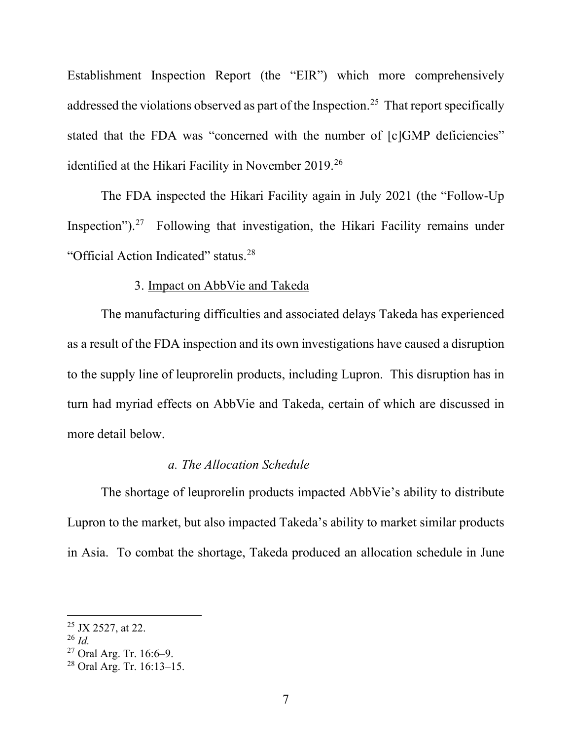Establishment Inspection Report (the "EIR") which more comprehensively addressed the violations observed as part of the Inspection.<sup>25</sup> That report specifically stated that the FDA was "concerned with the number of [c]GMP deficiencies" identified at the Hikari Facility in November 2019.26

The FDA inspected the Hikari Facility again in July 2021 (the "Follow-Up Inspection").<sup>27</sup> Following that investigation, the Hikari Facility remains under "Official Action Indicated" status.<sup>28</sup>

#### 3. Impact on AbbVie and Takeda

The manufacturing difficulties and associated delays Takeda has experienced as a result of the FDA inspection and its own investigations have caused a disruption to the supply line of leuprorelin products, including Lupron. This disruption has in turn had myriad effects on AbbVie and Takeda, certain of which are discussed in more detail below.

#### *a. The Allocation Schedule*

The shortage of leuprorelin products impacted AbbVie's ability to distribute Lupron to the market, but also impacted Takeda's ability to market similar products in Asia. To combat the shortage, Takeda produced an allocation schedule in June

<sup>&</sup>lt;sup>25</sup> JX 2527, at 22.

<sup>26</sup> *Id.*

 $27$  Oral Arg. Tr. 16:6–9.

<sup>28</sup> Oral Arg. Tr. 16:13–15.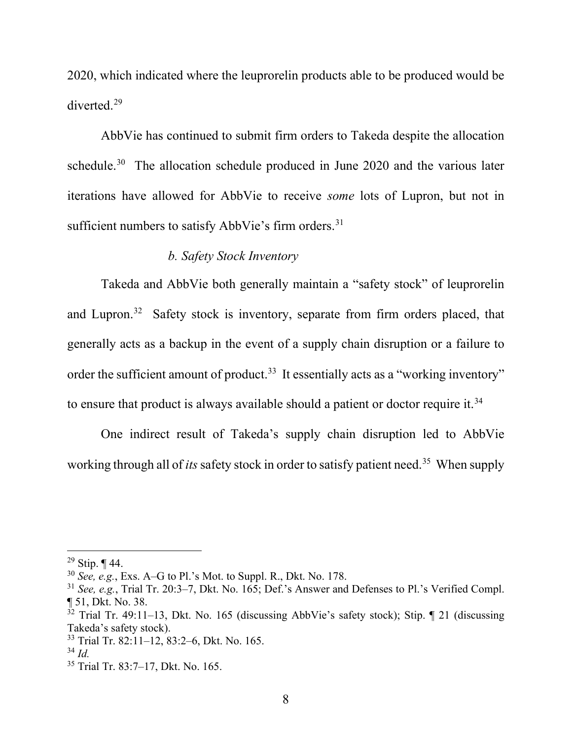2020, which indicated where the leuprorelin products able to be produced would be diverted.29

AbbVie has continued to submit firm orders to Takeda despite the allocation schedule.<sup>30</sup> The allocation schedule produced in June 2020 and the various later iterations have allowed for AbbVie to receive *some* lots of Lupron, but not in sufficient numbers to satisfy AbbVie's firm orders.<sup>31</sup>

# *b. Safety Stock Inventory*

Takeda and AbbVie both generally maintain a "safety stock" of leuprorelin and Lupron.<sup>32</sup> Safety stock is inventory, separate from firm orders placed, that generally acts as a backup in the event of a supply chain disruption or a failure to order the sufficient amount of product.<sup>33</sup> It essentially acts as a "working inventory" to ensure that product is always available should a patient or doctor require it.<sup>34</sup>

One indirect result of Takeda's supply chain disruption led to AbbVie working through all of *its* safety stock in order to satisfy patient need.<sup>35</sup> When supply

 $^{29}$  Stip. ¶ 44.

<sup>30</sup> *See, e.g.*, Exs. A–G to Pl.'s Mot. to Suppl. R., Dkt. No. 178.

<sup>31</sup> *See, e.g.*, Trial Tr. 20:3–7, Dkt. No. 165; Def.'s Answer and Defenses to Pl.'s Verified Compl. ¶ 51, Dkt. No. 38.

 $32$  Trial Tr. 49:11–13, Dkt. No. 165 (discussing AbbVie's safety stock); Stip.  $\parallel$  21 (discussing Takeda's safety stock).

<sup>33</sup> Trial Tr. 82:11–12, 83:2–6, Dkt. No. 165.

<sup>34</sup> *Id.*

<sup>35</sup> Trial Tr. 83:7–17, Dkt. No. 165.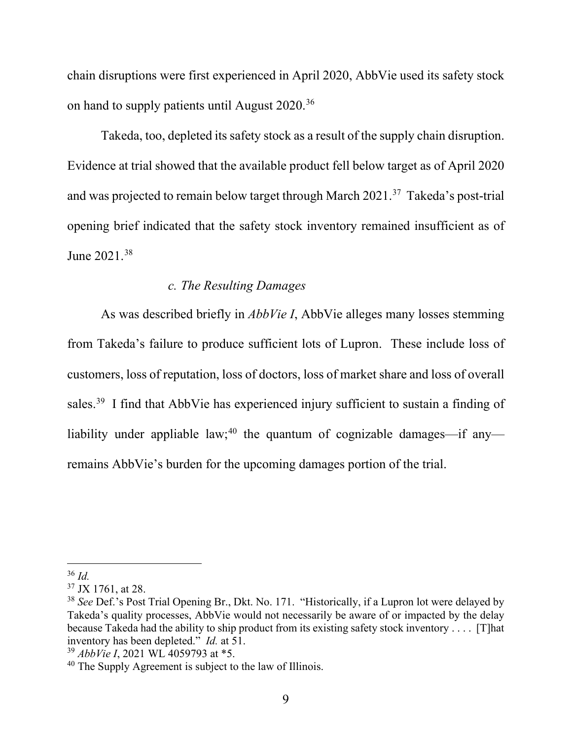chain disruptions were first experienced in April 2020, AbbVie used its safety stock on hand to supply patients until August 2020.36

Takeda, too, depleted its safety stock as a result of the supply chain disruption. Evidence at trial showed that the available product fell below target as of April 2020 and was projected to remain below target through March 2021.37 Takeda's post-trial opening brief indicated that the safety stock inventory remained insufficient as of June 2021.38

## *c. The Resulting Damages*

As was described briefly in *AbbVie I*, AbbVie alleges many losses stemming from Takeda's failure to produce sufficient lots of Lupron. These include loss of customers, loss of reputation, loss of doctors, loss of market share and loss of overall sales.<sup>39</sup> I find that AbbVie has experienced injury sufficient to sustain a finding of liability under appliable law;<sup>40</sup> the quantum of cognizable damages—if any remains AbbVie's burden for the upcoming damages portion of the trial.

<sup>36</sup> *Id.* 

<sup>37</sup> JX 1761, at 28.

<sup>38</sup> *See* Def.'s Post Trial Opening Br., Dkt. No. 171. "Historically, if a Lupron lot were delayed by Takeda's quality processes, AbbVie would not necessarily be aware of or impacted by the delay because Takeda had the ability to ship product from its existing safety stock inventory . . . . [T]hat inventory has been depleted." *Id.* at 51.

<sup>39</sup> *AbbVie I*, 2021 WL 4059793 at \*5.

<sup>40</sup> The Supply Agreement is subject to the law of Illinois.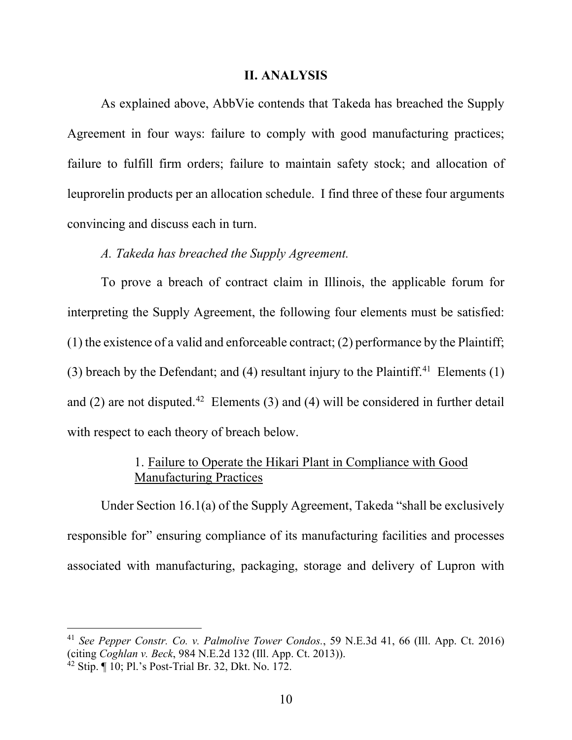#### **II. ANALYSIS**

As explained above, AbbVie contends that Takeda has breached the Supply Agreement in four ways: failure to comply with good manufacturing practices; failure to fulfill firm orders; failure to maintain safety stock; and allocation of leuprorelin products per an allocation schedule. I find three of these four arguments convincing and discuss each in turn.

#### *A. Takeda has breached the Supply Agreement.*

To prove a breach of contract claim in Illinois, the applicable forum for interpreting the Supply Agreement, the following four elements must be satisfied: (1) the existence of a valid and enforceable contract; (2) performance by the Plaintiff; (3) breach by the Defendant; and (4) resultant injury to the Plaintiff.<sup>41</sup> Elements (1) and (2) are not disputed.<sup>42</sup> Elements (3) and (4) will be considered in further detail with respect to each theory of breach below.

### 1. Failure to Operate the Hikari Plant in Compliance with Good Manufacturing Practices

Under Section 16.1(a) of the Supply Agreement, Takeda "shall be exclusively responsible for" ensuring compliance of its manufacturing facilities and processes associated with manufacturing, packaging, storage and delivery of Lupron with

<sup>41</sup> *See Pepper Constr. Co. v. Palmolive Tower Condos.*, 59 N.E.3d 41, 66 (Ill. App. Ct. 2016) (citing *Coghlan v. Beck*, 984 N.E.2d 132 (Ill. App. Ct. 2013)).

 $42$  Stip.  $\P$  10; Pl.'s Post-Trial Br. 32, Dkt. No. 172.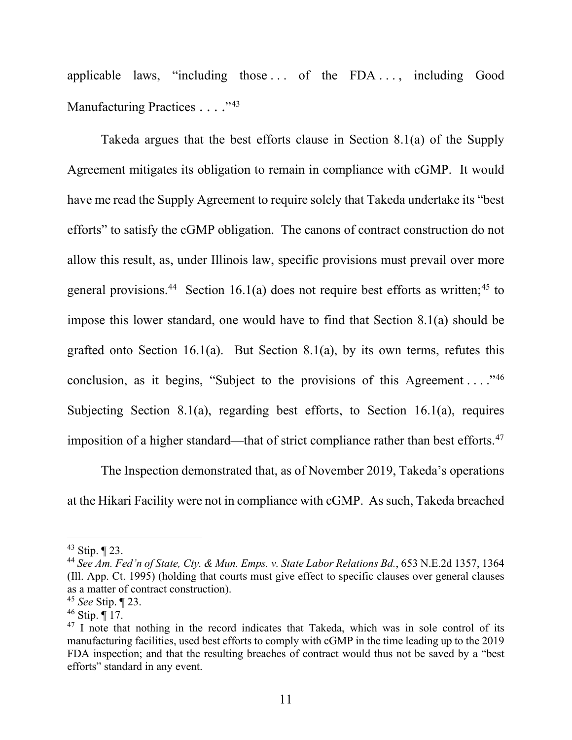applicable laws, "including those . . . of the FDA . . . , including Good Manufacturing Practices . . . . "43

Takeda argues that the best efforts clause in Section 8.1(a) of the Supply Agreement mitigates its obligation to remain in compliance with cGMP. It would have me read the Supply Agreement to require solely that Takeda undertake its "best efforts" to satisfy the cGMP obligation. The canons of contract construction do not allow this result, as, under Illinois law, specific provisions must prevail over more general provisions.<sup>44</sup> Section 16.1(a) does not require best efforts as written;<sup>45</sup> to impose this lower standard, one would have to find that Section 8.1(a) should be grafted onto Section 16.1(a). But Section 8.1(a), by its own terms, refutes this conclusion, as it begins, "Subject to the provisions of this Agreement  $\dots$ ."<sup>46</sup> Subjecting Section 8.1(a), regarding best efforts, to Section 16.1(a), requires imposition of a higher standard—that of strict compliance rather than best efforts.<sup>47</sup>

The Inspection demonstrated that, as of November 2019, Takeda's operations at the Hikari Facility were not in compliance with cGMP. As such, Takeda breached

 $43$  Stip.  $\P$  23.

<sup>44</sup> *See Am. Fed'n of State, Cty. & Mun. Emps. v. State Labor Relations Bd.*, 653 N.E.2d 1357, 1364 (Ill. App. Ct. 1995) (holding that courts must give effect to specific clauses over general clauses as a matter of contract construction).

<sup>45</sup> *See* Stip. ¶ 23.

 $46$  Stip.  $\P$ 17.

 $47$  I note that nothing in the record indicates that Takeda, which was in sole control of its manufacturing facilities, used best efforts to comply with cGMP in the time leading up to the 2019 FDA inspection; and that the resulting breaches of contract would thus not be saved by a "best efforts" standard in any event.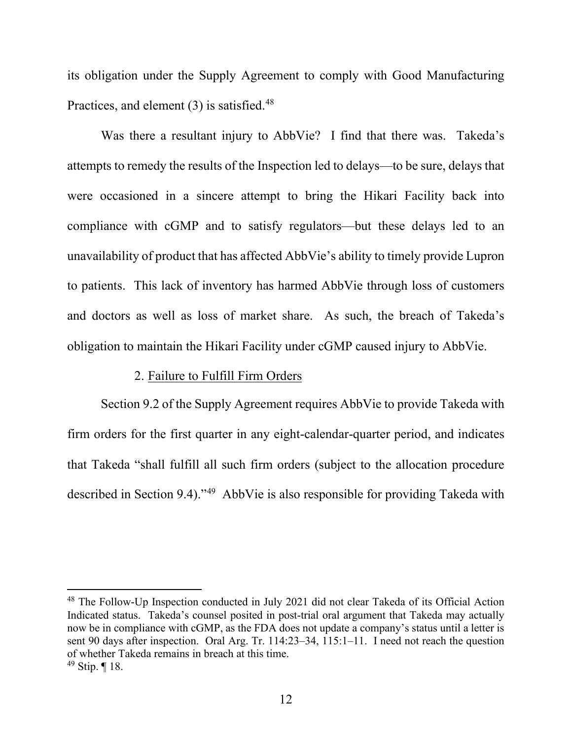its obligation under the Supply Agreement to comply with Good Manufacturing Practices, and element  $(3)$  is satisfied.<sup>48</sup>

Was there a resultant injury to AbbVie? I find that there was. Takeda's attempts to remedy the results of the Inspection led to delays—to be sure, delays that were occasioned in a sincere attempt to bring the Hikari Facility back into compliance with cGMP and to satisfy regulators—but these delays led to an unavailability of product that has affected AbbVie's ability to timely provide Lupron to patients. This lack of inventory has harmed AbbVie through loss of customers and doctors as well as loss of market share. As such, the breach of Takeda's obligation to maintain the Hikari Facility under cGMP caused injury to AbbVie.

#### 2. Failure to Fulfill Firm Orders

Section 9.2 of the Supply Agreement requires AbbVie to provide Takeda with firm orders for the first quarter in any eight-calendar-quarter period, and indicates that Takeda "shall fulfill all such firm orders (subject to the allocation procedure described in Section 9.4)."49 AbbVie is also responsible for providing Takeda with

<sup>48</sup> The Follow-Up Inspection conducted in July 2021 did not clear Takeda of its Official Action Indicated status. Takeda's counsel posited in post-trial oral argument that Takeda may actually now be in compliance with cGMP, as the FDA does not update a company's status until a letter is sent 90 days after inspection. Oral Arg. Tr. 114:23–34, 115:1–11. I need not reach the question of whether Takeda remains in breach at this time.

 $49$  Stip.  $\P$  18.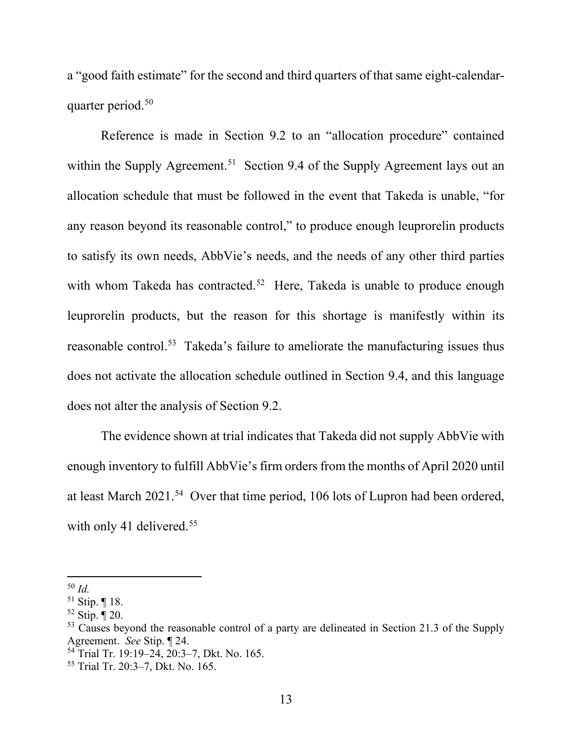a "good faith estimate" for the second and third quarters of that same eight-calendarquarter period.<sup>50</sup>

Reference is made in Section 9.2 to an "allocation procedure" contained within the Supply Agreement.<sup>51</sup> Section 9.4 of the Supply Agreement lays out an allocation schedule that must be followed in the event that Takeda is unable, "for any reason beyond its reasonable control," to produce enough leuprorelin products to satisfy its own needs, AbbVie's needs, and the needs of any other third parties with whom Takeda has contracted.<sup>52</sup> Here, Takeda is unable to produce enough leuprorelin products, but the reason for this shortage is manifestly within its reasonable control.53 Takeda's failure to ameliorate the manufacturing issues thus does not activate the allocation schedule outlined in Section 9.4, and this language does not alter the analysis of Section 9.2.

The evidence shown at trial indicates that Takeda did not supply AbbVie with enough inventory to fulfill AbbVie's firm orders from the months of April 2020 until at least March 2021.54 Over that time period, 106 lots of Lupron had been ordered, with only 41 delivered.<sup>55</sup>

<sup>50</sup> *Id.* 

 $51$  Stip.  $\P$  18.

 $52$  Stip.  $\frac{1}{9}$  20.

 $53$  Causes beyond the reasonable control of a party are delineated in Section 21.3 of the Supply Agreement. *See* Stip. ¶ 24.

<sup>&</sup>lt;sup>54</sup> Trial Tr. 19:19–24,  $20:3-7$ , Dkt. No. 165.<br><sup>55</sup> Trial Tr. 20:3–7, Dkt. No. 165.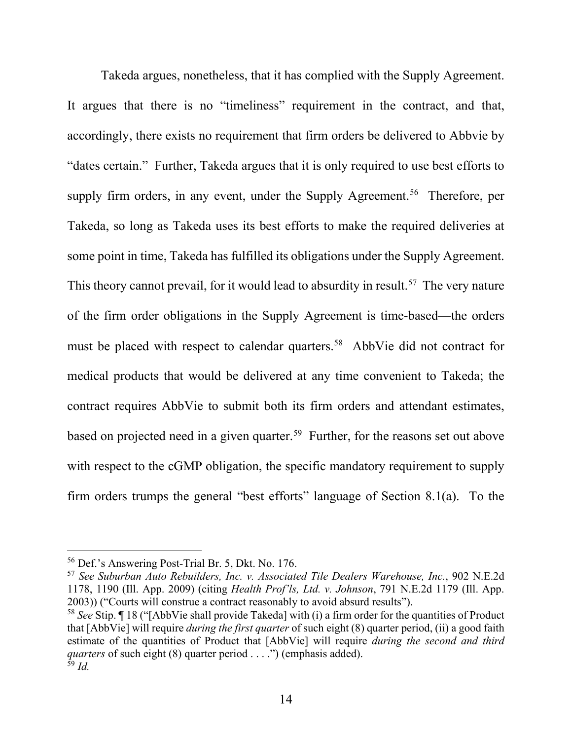Takeda argues, nonetheless, that it has complied with the Supply Agreement. It argues that there is no "timeliness" requirement in the contract, and that, accordingly, there exists no requirement that firm orders be delivered to Abbvie by "dates certain." Further, Takeda argues that it is only required to use best efforts to supply firm orders, in any event, under the Supply Agreement.<sup>56</sup> Therefore, per Takeda, so long as Takeda uses its best efforts to make the required deliveries at some point in time, Takeda has fulfilled its obligations under the Supply Agreement. This theory cannot prevail, for it would lead to absurdity in result.<sup>57</sup> The very nature of the firm order obligations in the Supply Agreement is time-based—the orders must be placed with respect to calendar quarters.<sup>58</sup> AbbVie did not contract for medical products that would be delivered at any time convenient to Takeda; the contract requires AbbVie to submit both its firm orders and attendant estimates, based on projected need in a given quarter.<sup>59</sup> Further, for the reasons set out above with respect to the cGMP obligation, the specific mandatory requirement to supply firm orders trumps the general "best efforts" language of Section 8.1(a). To the

<sup>56</sup> Def.'s Answering Post-Trial Br. 5, Dkt. No. 176.

<sup>57</sup> *See Suburban Auto Rebuilders, Inc. v. Associated Tile Dealers Warehouse, Inc.*, 902 N.E.2d 1178, 1190 (Ill. App. 2009) (citing *Health Prof'ls, Ltd. v. Johnson*, 791 N.E.2d 1179 (Ill. App. 2003)) ("Courts will construe a contract reasonably to avoid absurd results").

<sup>58</sup> *See* Stip. ¶ 18 ("[AbbVie shall provide Takeda] with (i) a firm order for the quantities of Product that [AbbVie] will require *during the first quarter* of such eight (8) quarter period, (ii) a good faith estimate of the quantities of Product that [AbbVie] will require *during the second and third quarters* of such eight (8) quarter period . . . .") (emphasis added). <sup>59</sup> *Id.*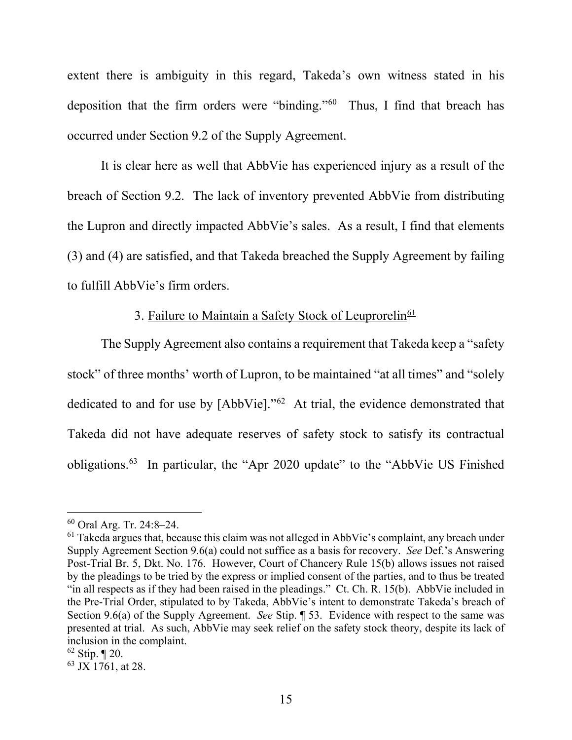extent there is ambiguity in this regard, Takeda's own witness stated in his deposition that the firm orders were "binding."60 Thus, I find that breach has occurred under Section 9.2 of the Supply Agreement.

It is clear here as well that AbbVie has experienced injury as a result of the breach of Section 9.2. The lack of inventory prevented AbbVie from distributing the Lupron and directly impacted AbbVie's sales. As a result, I find that elements (3) and (4) are satisfied, and that Takeda breached the Supply Agreement by failing to fulfill AbbVie's firm orders.

# 3. Failure to Maintain a Safety Stock of Leuprorelin<sup>61</sup>

The Supply Agreement also contains a requirement that Takeda keep a "safety stock" of three months' worth of Lupron, to be maintained "at all times" and "solely dedicated to and for use by [AbbVie]."62 At trial, the evidence demonstrated that Takeda did not have adequate reserves of safety stock to satisfy its contractual obligations.63 In particular, the "Apr 2020 update" to the "AbbVie US Finished

<sup>60</sup> Oral Arg. Tr. 24:8–24.

 $61$  Takeda argues that, because this claim was not alleged in AbbVie's complaint, any breach under Supply Agreement Section 9.6(a) could not suffice as a basis for recovery. *See* Def.'s Answering Post-Trial Br. 5, Dkt. No. 176. However, Court of Chancery Rule 15(b) allows issues not raised by the pleadings to be tried by the express or implied consent of the parties, and to thus be treated "in all respects as if they had been raised in the pleadings." Ct. Ch. R. 15(b). AbbVie included in the Pre-Trial Order, stipulated to by Takeda, AbbVie's intent to demonstrate Takeda's breach of Section 9.6(a) of the Supply Agreement. *See* Stip. ¶ 53. Evidence with respect to the same was presented at trial. As such, AbbVie may seek relief on the safety stock theory, despite its lack of inclusion in the complaint.

 $62$  Stip.  $\P$  20.

 $63$  JX 1761, at 28.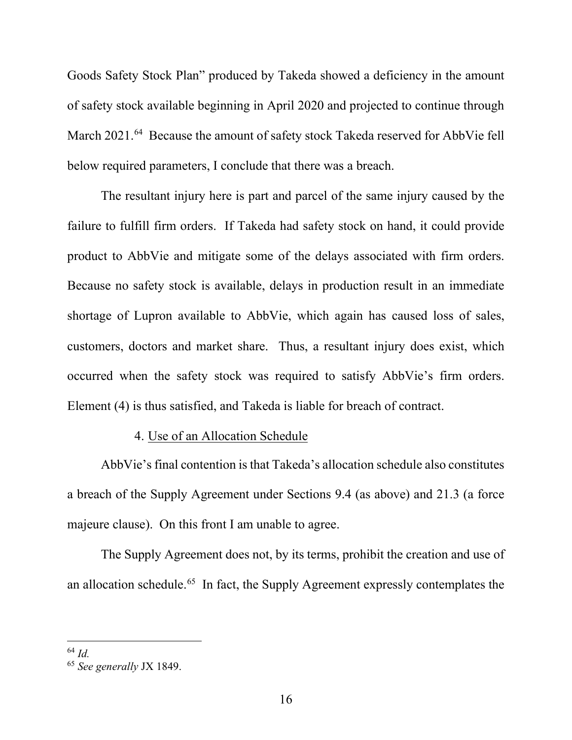Goods Safety Stock Plan" produced by Takeda showed a deficiency in the amount of safety stock available beginning in April 2020 and projected to continue through March 2021.<sup>64</sup> Because the amount of safety stock Takeda reserved for AbbVie fell below required parameters, I conclude that there was a breach.

The resultant injury here is part and parcel of the same injury caused by the failure to fulfill firm orders. If Takeda had safety stock on hand, it could provide product to AbbVie and mitigate some of the delays associated with firm orders. Because no safety stock is available, delays in production result in an immediate shortage of Lupron available to AbbVie, which again has caused loss of sales, customers, doctors and market share. Thus, a resultant injury does exist, which occurred when the safety stock was required to satisfy AbbVie's firm orders. Element (4) is thus satisfied, and Takeda is liable for breach of contract.

#### 4. Use of an Allocation Schedule

AbbVie's final contention is that Takeda's allocation schedule also constitutes a breach of the Supply Agreement under Sections 9.4 (as above) and 21.3 (a force majeure clause). On this front I am unable to agree.

The Supply Agreement does not, by its terms, prohibit the creation and use of an allocation schedule.<sup>65</sup> In fact, the Supply Agreement expressly contemplates the

<sup>64</sup> *Id.* 

<sup>65</sup> *See generally* JX 1849.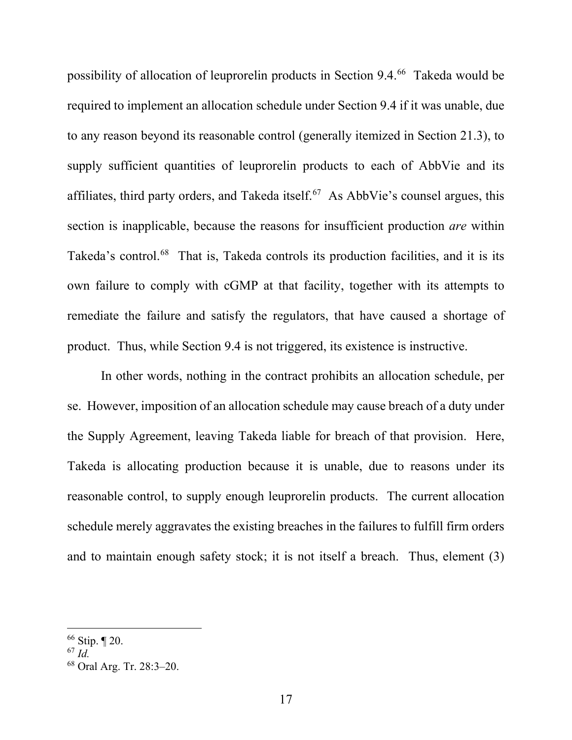possibility of allocation of leuprorelin products in Section 9.4.66 Takeda would be required to implement an allocation schedule under Section 9.4 if it was unable, due to any reason beyond its reasonable control (generally itemized in Section 21.3), to supply sufficient quantities of leuprorelin products to each of AbbVie and its affiliates, third party orders, and Takeda itself.<sup>67</sup> As AbbVie's counsel argues, this section is inapplicable, because the reasons for insufficient production *are* within Takeda's control.<sup>68</sup> That is, Takeda controls its production facilities, and it is its own failure to comply with cGMP at that facility, together with its attempts to remediate the failure and satisfy the regulators, that have caused a shortage of product. Thus, while Section 9.4 is not triggered, its existence is instructive.

In other words, nothing in the contract prohibits an allocation schedule, per se. However, imposition of an allocation schedule may cause breach of a duty under the Supply Agreement, leaving Takeda liable for breach of that provision. Here, Takeda is allocating production because it is unable, due to reasons under its reasonable control, to supply enough leuprorelin products. The current allocation schedule merely aggravates the existing breaches in the failures to fulfill firm orders and to maintain enough safety stock; it is not itself a breach. Thus, element (3)

<sup>66</sup> Stip. ¶ 20.

<sup>67</sup> *Id.*

<sup>68</sup> Oral Arg. Tr. 28:3–20.